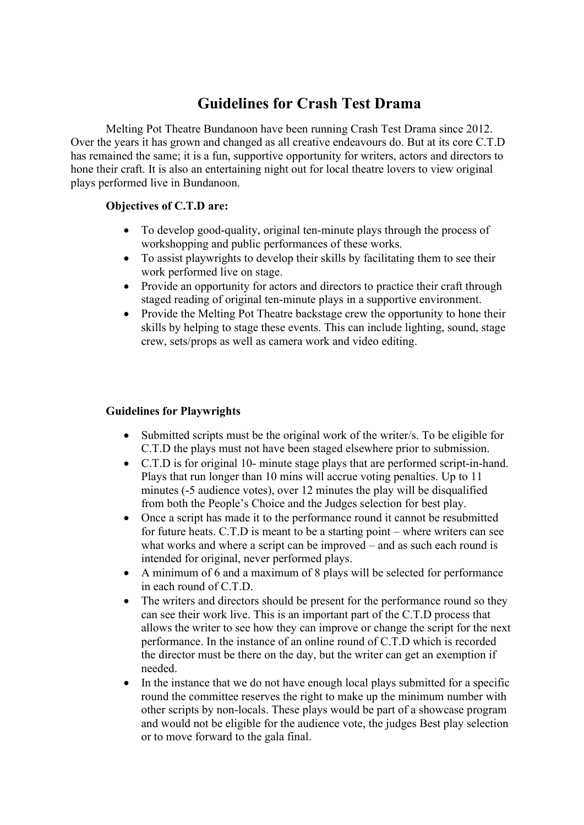## **Guidelines for Crash Test Drama**

Melting Pot Theatre Bundanoon have been running Crash Test Drama since 2012. Over the years it has grown and changed as all creative endeavours do. But at its core C.T.D has remained the same; it is a fun, supportive opportunity for writers, actors and directors to hone their craft. It is also an entertaining night out for local theatre lovers to view original plays performed live in Bundanoon.

## **Objectives of C.T.D are:**

- To develop good-quality, original ten-minute plays through the process of workshopping and public performances of these works.
- To assist playwrights to develop their skills by facilitating them to see their work performed live on stage.
- Provide an opportunity for actors and directors to practice their craft through staged reading of original ten-minute plays in a supportive environment.
- Provide the Melting Pot Theatre backstage crew the opportunity to hone their skills by helping to stage these events. This can include lighting, sound, stage crew, sets/props as well as camera work and video editing.

## **Guidelines for Playwrights**

- Submitted scripts must be the original work of the writer/s. To be eligible for C.T.D the plays must not have been staged elsewhere prior to submission.
- C.T.D is for original 10- minute stage plays that are performed script-in-hand. Plays that run longer than 10 mins will accrue voting penalties. Up to 11 minutes (-5 audience votes), over 12 minutes the play will be disqualified from both the People's Choice and the Judges selection for best play.
- Once a script has made it to the performance round it cannot be resubmitted for future heats. C.T.D is meant to be a starting point – where writers can see what works and where a script can be improved – and as such each round is intended for original, never performed plays.
- A minimum of 6 and a maximum of 8 plays will be selected for performance in each round of C.T.D.
- The writers and directors should be present for the performance round so they can see their work live. This is an important part of the C.T.D process that allows the writer to see how they can improve or change the script for the next performance. In the instance of an online round of C.T.D which is recorded the director must be there on the day, but the writer can get an exemption if needed.
- In the instance that we do not have enough local plays submitted for a specific round the committee reserves the right to make up the minimum number with other scripts by non-locals. These plays would be part of a showcase program and would not be eligible for the audience vote, the judges Best play selection or to move forward to the gala final.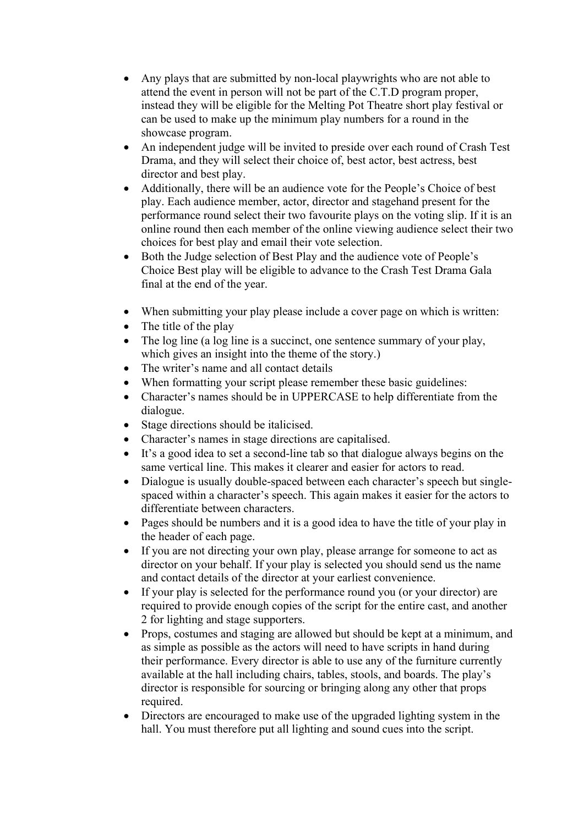- Any plays that are submitted by non-local playwrights who are not able to attend the event in person will not be part of the C.T.D program proper, instead they will be eligible for the Melting Pot Theatre short play festival or can be used to make up the minimum play numbers for a round in the showcase program.
- An independent judge will be invited to preside over each round of Crash Test Drama, and they will select their choice of, best actor, best actress, best director and best play.
- Additionally, there will be an audience vote for the People's Choice of best play. Each audience member, actor, director and stagehand present for the performance round select their two favourite plays on the voting slip. If it is an online round then each member of the online viewing audience select their two choices for best play and email their vote selection.
- Both the Judge selection of Best Play and the audience vote of People's Choice Best play will be eligible to advance to the Crash Test Drama Gala final at the end of the year.
- When submitting your play please include a cover page on which is written:
- The title of the play
- The log line (a log line is a succinct, one sentence summary of your play, which gives an insight into the theme of the story.)
- The writer's name and all contact details
- When formatting your script please remember these basic guidelines:
- Character's names should be in UPPERCASE to help differentiate from the dialogue.
- Stage directions should be italicised.
- Character's names in stage directions are capitalised.
- It's a good idea to set a second-line tab so that dialogue always begins on the same vertical line. This makes it clearer and easier for actors to read.
- Dialogue is usually double-spaced between each character's speech but singlespaced within a character's speech. This again makes it easier for the actors to differentiate between characters.
- Pages should be numbers and it is a good idea to have the title of your play in the header of each page.
- If you are not directing your own play, please arrange for someone to act as director on your behalf. If your play is selected you should send us the name and contact details of the director at your earliest convenience.
- If your play is selected for the performance round you (or your director) are required to provide enough copies of the script for the entire cast, and another 2 for lighting and stage supporters.
- Props, costumes and staging are allowed but should be kept at a minimum, and as simple as possible as the actors will need to have scripts in hand during their performance. Every director is able to use any of the furniture currently available at the hall including chairs, tables, stools, and boards. The play's director is responsible for sourcing or bringing along any other that props required.
- Directors are encouraged to make use of the upgraded lighting system in the hall. You must therefore put all lighting and sound cues into the script.